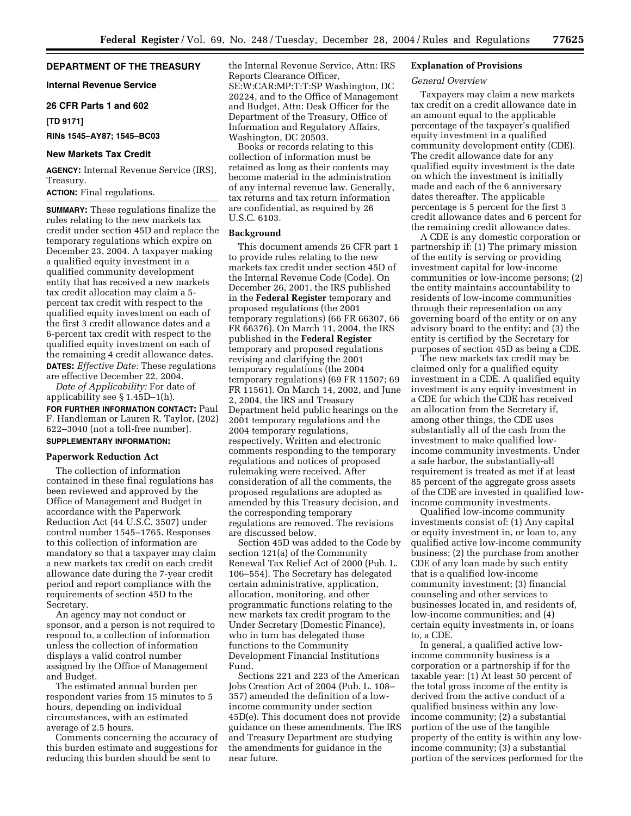# **DEPARTMENT OF THE TREASURY**

**Internal Revenue Service** 

### **26 CFR Parts 1 and 602**

**[TD 9171]** 

**RINs 1545–AY87; 1545–BC03**

## **New Markets Tax Credit**

**AGENCY:** Internal Revenue Service (IRS), Treasury.

**ACTION:** Final regulations.

**SUMMARY:** These regulations finalize the rules relating to the new markets tax credit under section 45D and replace the temporary regulations which expire on December 23, 2004. A taxpayer making a qualified equity investment in a qualified community development entity that has received a new markets tax credit allocation may claim a 5 percent tax credit with respect to the qualified equity investment on each of the first 3 credit allowance dates and a 6-percent tax credit with respect to the qualified equity investment on each of the remaining 4 credit allowance dates. **DATES:** *Effective Date:* These regulations are effective December 22, 2004.

*Date of Applicability:* For date of applicability see § 1.45D–1(h). **FOR FURTHER INFORMATION CONTACT:** Paul F. Handleman or Lauren R. Taylor, (202) 622–3040 (not a toll-free number). **SUPPLEMENTARY INFORMATION:** 

## **Paperwork Reduction Act**

The collection of information contained in these final regulations has been reviewed and approved by the Office of Management and Budget in accordance with the Paperwork Reduction Act (44 U.S.C. 3507) under control number 1545–1765. Responses to this collection of information are mandatory so that a taxpayer may claim a new markets tax credit on each credit allowance date during the 7-year credit period and report compliance with the requirements of section 45D to the Secretary.

An agency may not conduct or sponsor, and a person is not required to respond to, a collection of information unless the collection of information displays a valid control number assigned by the Office of Management and Budget.

The estimated annual burden per respondent varies from 15 minutes to 5 hours, depending on individual circumstances, with an estimated average of 2.5 hours.

Comments concerning the accuracy of this burden estimate and suggestions for reducing this burden should be sent to

the Internal Revenue Service, Attn: IRS Reports Clearance Officer, SE:W:CAR:MP:T:T:SP Washington, DC 20224, and to the Office of Management and Budget, Attn: Desk Officer for the Department of the Treasury, Office of Information and Regulatory Affairs, Washington, DC 20503.

Books or records relating to this collection of information must be retained as long as their contents may become material in the administration of any internal revenue law. Generally, tax returns and tax return information are confidential, as required by 26 U.S.C. 6103.

### **Background**

This document amends 26 CFR part 1 to provide rules relating to the new markets tax credit under section 45D of the Internal Revenue Code (Code). On December 26, 2001, the IRS published in the **Federal Register** temporary and proposed regulations (the 2001 temporary regulations) (66 FR 66307, 66 FR 66376). On March 11, 2004, the IRS published in the **Federal Register** temporary and proposed regulations revising and clarifying the 2001 temporary regulations (the 2004 temporary regulations) (69 FR 11507; 69 FR 11561). On March 14, 2002, and June 2, 2004, the IRS and Treasury Department held public hearings on the 2001 temporary regulations and the 2004 temporary regulations, respectively. Written and electronic comments responding to the temporary regulations and notices of proposed rulemaking were received. After consideration of all the comments, the proposed regulations are adopted as amended by this Treasury decision, and the corresponding temporary regulations are removed. The revisions are discussed below.

Section 45D was added to the Code by section 121(a) of the Community Renewal Tax Relief Act of 2000 (Pub. L. 106–554). The Secretary has delegated certain administrative, application, allocation, monitoring, and other programmatic functions relating to the new markets tax credit program to the Under Secretary (Domestic Finance), who in turn has delegated those functions to the Community Development Financial Institutions Fund.

Sections 221 and 223 of the American Jobs Creation Act of 2004 (Pub. L. 108– 357) amended the definition of a lowincome community under section 45D(e). This document does not provide guidance on these amendments. The IRS and Treasury Department are studying the amendments for guidance in the near future.

#### **Explanation of Provisions**

### *General Overview*

Taxpayers may claim a new markets tax credit on a credit allowance date in an amount equal to the applicable percentage of the taxpayer's qualified equity investment in a qualified community development entity (CDE). The credit allowance date for any qualified equity investment is the date on which the investment is initially made and each of the 6 anniversary dates thereafter. The applicable percentage is 5 percent for the first 3 credit allowance dates and 6 percent for the remaining credit allowance dates.

A CDE is any domestic corporation or partnership if: (1) The primary mission of the entity is serving or providing investment capital for low-income communities or low-income persons; (2) the entity maintains accountability to residents of low-income communities through their representation on any governing board of the entity or on any advisory board to the entity; and (3) the entity is certified by the Secretary for purposes of section 45D as being a CDE.

The new markets tax credit may be claimed only for a qualified equity investment in a CDE. A qualified equity investment is any equity investment in a CDE for which the CDE has received an allocation from the Secretary if, among other things, the CDE uses substantially all of the cash from the investment to make qualified lowincome community investments. Under a safe harbor, the substantially-all requirement is treated as met if at least 85 percent of the aggregate gross assets of the CDE are invested in qualified lowincome community investments.

Qualified low-income community investments consist of: (1) Any capital or equity investment in, or loan to, any qualified active low-income community business; (2) the purchase from another CDE of any loan made by such entity that is a qualified low-income community investment; (3) financial counseling and other services to businesses located in, and residents of, low-income communities; and (4) certain equity investments in, or loans to, a CDE.

In general, a qualified active lowincome community business is a corporation or a partnership if for the taxable year: (1) At least 50 percent of the total gross income of the entity is derived from the active conduct of a qualified business within any lowincome community; (2) a substantial portion of the use of the tangible property of the entity is within any lowincome community; (3) a substantial portion of the services performed for the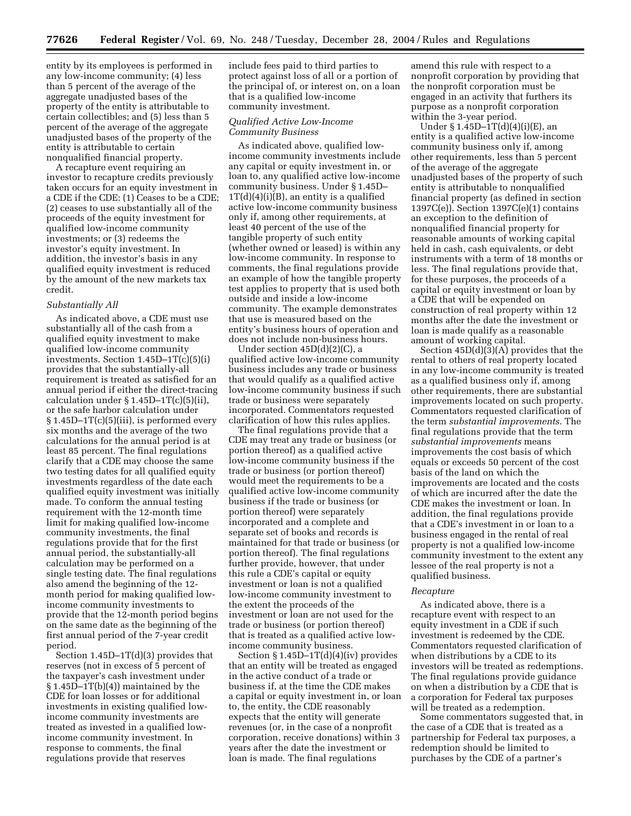entity by its employees is performed in any low-income community; (4) less than 5 percent of the average of the aggregate unadjusted bases of the property of the entity is attributable to certain collectibles; and (5) less than 5 percent of the average of the aggregate unadjusted bases of the property of the entity is attributable to certain nonqualified financial property.

A recapture event requiring an investor to recapture credits previously taken occurs for an equity investment in a CDE if the CDE: (1) Ceases to be a CDE; (2) ceases to use substantially all of the proceeds of the equity investment for qualified low-income community investments; or (3) redeems the investor's equity investment. In addition, the investor's basis in any qualified equity investment is reduced by the amount of the new markets tax credit.

## *Substantially All*

As indicated above, a CDE must use substantially all of the cash from a qualified equity investment to make qualified low-income community investments. Section 1.45D–1T(c)(5)(i) provides that the substantially-all requirement is treated as satisfied for an annual period if either the direct-tracing calculation under  $\S 1.45D-1T(c)(5)(ii)$ , or the safe harbor calculation under § 1.45D–1T(c)(5)(iii), is performed every six months and the average of the two calculations for the annual period is at least 85 percent. The final regulations clarify that a CDE may choose the same two testing dates for all qualified equity investments regardless of the date each qualified equity investment was initially made. To conform the annual testing requirement with the 12-month time limit for making qualified low-income community investments, the final regulations provide that for the first annual period, the substantially-all calculation may be performed on a single testing date. The final regulations also amend the beginning of the 12 month period for making qualified lowincome community investments to provide that the 12-month period begins on the same date as the beginning of the first annual period of the 7-year credit period.

Section 1.45D–1T(d)(3) provides that reserves (not in excess of 5 percent of the taxpayer's cash investment under § 1.45D–1T(b)(4)) maintained by the CDE for loan losses or for additional investments in existing qualified lowincome community investments are treated as invested in a qualified lowincome community investment. In response to comments, the final regulations provide that reserves

include fees paid to third parties to protect against loss of all or a portion of the principal of, or interest on, on a loan that is a qualified low-income community investment.

#### *Qualified Active Low-Income Community Business*

As indicated above, qualified lowincome community investments include any capital or equity investment in, or loan to, any qualified active low-income community business. Under § 1.45D–  $1T(d)(4)(i)(B)$ , an entity is a qualified active low-income community business only if, among other requirements, at least 40 percent of the use of the tangible property of such entity (whether owned or leased) is within any low-income community. In response to comments, the final regulations provide an example of how the tangible property test applies to property that is used both outside and inside a low-income community. The example demonstrates that use is measured based on the entity's business hours of operation and does not include non-business hours.

Under section 45D(d)(2)(C), a qualified active low-income community business includes any trade or business that would qualify as a qualified active low-income community business if such trade or business were separately incorporated. Commentators requested clarification of how this rules applies.

The final regulations provide that a CDE may treat any trade or business (or portion thereof) as a qualified active low-income community business if the trade or business (or portion thereof) would meet the requirements to be a qualified active low-income community business if the trade or business (or portion thereof) were separately incorporated and a complete and separate set of books and records is maintained for that trade or business (or portion thereof). The final regulations further provide, however, that under this rule a CDE's capital or equity investment or loan is not a qualified low-income community investment to the extent the proceeds of the investment or loan are not used for the trade or business (or portion thereof) that is treated as a qualified active lowincome community business.

Section  $$1.45D-1T(d)(4)(iv)$  provides that an entity will be treated as engaged in the active conduct of a trade or business if, at the time the CDE makes a capital or equity investment in, or loan to, the entity, the CDE reasonably expects that the entity will generate revenues (or, in the case of a nonprofit corporation, receive donations) within 3 years after the date the investment or loan is made. The final regulations

amend this rule with respect to a nonprofit corporation by providing that the nonprofit corporation must be engaged in an activity that furthers its purpose as a nonprofit corporation within the 3-year period.

Under § 1.45D–1T(d)(4)(i)(E), an entity is a qualified active low-income community business only if, among other requirements, less than 5 percent of the average of the aggregate unadjusted bases of the property of such entity is attributable to nonqualified financial property (as defined in section 1397C(e)). Section 1397C(e)(1) contains an exception to the definition of nonqualified financial property for reasonable amounts of working capital held in cash, cash equivalents, or debt instruments with a term of 18 months or less. The final regulations provide that, for these purposes, the proceeds of a capital or equity investment or loan by a CDE that will be expended on construction of real property within 12 months after the date the investment or loan is made qualify as a reasonable amount of working capital.

Section  $45D(d)(3)(A)$  provides that the rental to others of real property located in any low-income community is treated as a qualified business only if, among other requirements, there are substantial improvements located on such property. Commentators requested clarification of the term *substantial improvements*. The final regulations provide that the term *substantial improvements* means improvements the cost basis of which equals or exceeds 50 percent of the cost basis of the land on which the improvements are located and the costs of which are incurred after the date the CDE makes the investment or loan. In addition, the final regulations provide that a CDE's investment in or loan to a business engaged in the rental of real property is not a qualified low-income community investment to the extent any lessee of the real property is not a qualified business.

#### *Recapture*

As indicated above, there is a recapture event with respect to an equity investment in a CDE if such investment is redeemed by the CDE. Commentators requested clarification of when distributions by a CDE to its investors will be treated as redemptions. The final regulations provide guidance on when a distribution by a CDE that is a corporation for Federal tax purposes will be treated as a redemption.

Some commentators suggested that, in the case of a CDE that is treated as a partnership for Federal tax purposes, a redemption should be limited to purchases by the CDE of a partner's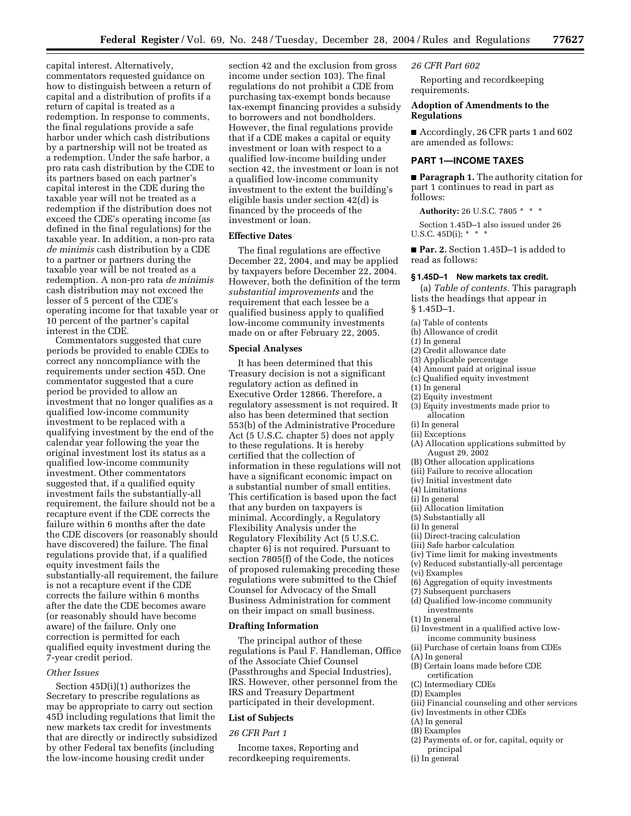capital interest. Alternatively, commentators requested guidance on how to distinguish between a return of capital and a distribution of profits if a return of capital is treated as a redemption. In response to comments, the final regulations provide a safe harbor under which cash distributions by a partnership will not be treated as a redemption. Under the safe harbor, a pro rata cash distribution by the CDE to its partners based on each partner's capital interest in the CDE during the taxable year will not be treated as a redemption if the distribution does not exceed the CDE's operating income (as defined in the final regulations) for the taxable year. In addition, a non-pro rata *de minimis* cash distribution by a CDE to a partner or partners during the taxable year will be not treated as a redemption. A non-pro rata *de minimis* cash distribution may not exceed the lesser of 5 percent of the CDE's operating income for that taxable year or 10 percent of the partner's capital interest in the CDE.

Commentators suggested that cure periods be provided to enable CDEs to correct any noncompliance with the requirements under section 45D. One commentator suggested that a cure period be provided to allow an investment that no longer qualifies as a qualified low-income community investment to be replaced with a qualifying investment by the end of the calendar year following the year the original investment lost its status as a qualified low-income community investment. Other commentators suggested that, if a qualified equity investment fails the substantially-all requirement, the failure should not be a recapture event if the CDE corrects the failure within 6 months after the date the CDE discovers (or reasonably should have discovered) the failure. The final regulations provide that, if a qualified equity investment fails the substantially-all requirement, the failure is not a recapture event if the CDE corrects the failure within 6 months after the date the CDE becomes aware (or reasonably should have become aware) of the failure. Only one correction is permitted for each qualified equity investment during the 7-year credit period.

### *Other Issues*

Section 45D(i)(1) authorizes the Secretary to prescribe regulations as may be appropriate to carry out section 45D including regulations that limit the new markets tax credit for investments that are directly or indirectly subsidized by other Federal tax benefits (including the low-income housing credit under

section 42 and the exclusion from gross income under section 103). The final regulations do not prohibit a CDE from purchasing tax-exempt bonds because tax-exempt financing provides a subsidy to borrowers and not bondholders. However, the final regulations provide that if a CDE makes a capital or equity investment or loan with respect to a qualified low-income building under section 42, the investment or loan is not a qualified low-income community investment to the extent the building's eligible basis under section 42(d) is financed by the proceeds of the investment or loan.

### **Effective Dates**

The final regulations are effective December 22, 2004, and may be applied by taxpayers before December 22, 2004. However, both the definition of the term *substantial improvements* and the requirement that each lessee be a qualified business apply to qualified low-income community investments made on or after February 22, 2005.

# **Special Analyses**

It has been determined that this Treasury decision is not a significant regulatory action as defined in Executive Order 12866. Therefore, a regulatory assessment is not required. It also has been determined that section 553(b) of the Administrative Procedure Act (5 U.S.C. chapter 5) does not apply to these regulations. It is hereby certified that the collection of information in these regulations will not have a significant economic impact on a substantial number of small entities. This certification is based upon the fact that any burden on taxpayers is minimal. Accordingly, a Regulatory Flexibility Analysis under the Regulatory Flexibility Act (5 U.S.C. chapter 6) is not required. Pursuant to section 7805(f) of the Code, the notices of proposed rulemaking preceding these regulations were submitted to the Chief Counsel for Advocacy of the Small Business Administration for comment on their impact on small business.

#### **Drafting Information**

The principal author of these regulations is Paul F. Handleman, Office of the Associate Chief Counsel (Passthroughs and Special Industries), IRS. However, other personnel from the IRS and Treasury Department participated in their development.

### **List of Subjects**

#### *26 CFR Part 1*

Income taxes, Reporting and recordkeeping requirements.

### *26 CFR Part 602*

Reporting and recordkeeping requirements.

## **Adoption of Amendments to the Regulations**

■ Accordingly, 26 CFR parts 1 and 602 are amended as follows:

## **PART 1—INCOME TAXES**

■ **Paragraph 1.** The authority citation for part 1 continues to read in part as follows:

**Authority:** 26 U.S.C. 7805 \* \* \*

Section 1.45D–1 also issued under 26 U.S.C.  $45D(i);$  \* \* \*

■ **Par. 2.** Section 1.45D-1 is added to read as follows:

### **§ 1.45D–1 New markets tax credit.**

(a) *Table of contents.* This paragraph lists the headings that appear in § 1.45D–1.

- (a) Table of contents
- (b) Allowance of credit
- (*1*) In general
- (*2*) Credit allowance date
- (3) Applicable percentage
- (4) Amount paid at original issue
- (c) Qualified equity investment
- (1) In general
- (2) Equity investment
- (3) Equity investments made prior to allocation
- (i) In general
- (ii) Exceptions
- (A) Allocation applications submitted by August 29, 2002
- (B) Other allocation applications
- (iii) Failure to receive allocation
- (iv) Initial investment date
- (4) Limitations
- (i) In general
- (ii) Allocation limitation
- (5) Substantially all
- (i) In general
- (ii) Direct-tracing calculation
- (iii) Safe harbor calculation
- (iv) Time limit for making investments
- (v) Reduced substantially-all percentage
- (vi) Examples
- (6) Aggregation of equity investments
- (7) Subsequent purchasers
- (d) Qualified low-income community investments
- (1) In general
- (i) Investment in a qualified active lowincome community business
- (ii) Purchase of certain loans from CDEs
- (A) In general
- (B) Certain loans made before CDE certification
- (C) Intermediary CDEs
- (D) Examples
- (iii) Financial counseling and other services
- (iv) Investments in other CDEs
- (A) In general
- (B) Examples
- (2) Payments of, or for, capital, equity or principal
- (i) In general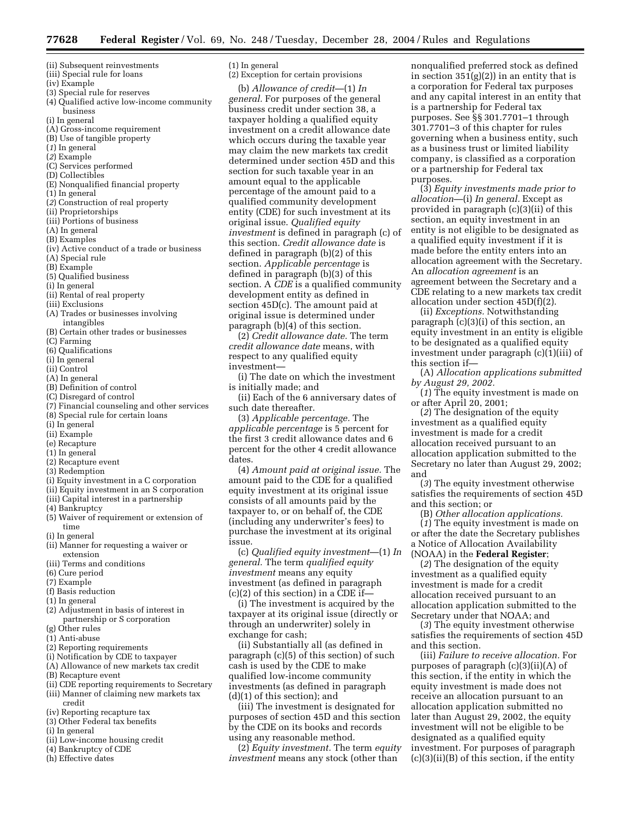- (ii) Subsequent reinvestments
- (iii) Special rule for loans
- (iv) Example
- (3) Special rule for reserves
- (4) Qualified active low-income community business
- (i) In general
- (A) Gross-income requirement
- (B) Use of tangible property
- (*1*) In general
- (*2*) Example
- (C) Services performed
- (D) Collectibles
- (E) Nonqualified financial property
- (1) In general
- (*2*) Construction of real property
- (ii) Proprietorships
- (iii) Portions of business
- (A) In general
- (B) Examples
- (iv) Active conduct of a trade or business
- (A) Special rule
- (B) Example
- (5) Qualified business
- (i) In general
- (ii) Rental of real property
- (iii) Exclusions
- (A) Trades or businesses involving intangibles
- (B) Certain other trades or businesses
- (C) Farming
- (6) Qualifications
- (i) In general
- (ii) Control
- (A) In general
- (B) Definition of control
- (C) Disregard of control
- (7) Financial counseling and other services
- (8) Special rule for certain loans
- (i) In general
- (ii) Example
- (e) Recapture
- (1) In general
- (2) Recapture event
- (3) Redemption
- (i) Equity investment in a C corporation
- (ii) Equity investment in an S corporation
- (iii) Capital interest in a partnership
- (4) Bankruptcy
- (5) Waiver of requirement or extension of time
- (i) In general
- (ii) Manner for requesting a waiver or extension
- (iii) Terms and conditions
- (6) Cure period
- (7) Example
- (f) Basis reduction
- (1) In general
- (2) Adjustment in basis of interest in partnership or S corporation
- (g) Other rules
- (1) Anti-abuse
- (2) Reporting requirements
- (i) Notification by CDE to taxpayer
- (A) Allowance of new markets tax credit
- (B) Recapture event
- (ii) CDE reporting requirements to Secretary
- (iii) Manner of claiming new markets tax credit
- (iv) Reporting recapture tax
- (3) Other Federal tax benefits
- (i) In general
- (ii) Low-income housing credit
- (4) Bankruptcy of CDE
- (h) Effective dates

## (1) In general

(2) Exception for certain provisions

(b) *Allowance of credit*—(1) *In general.* For purposes of the general business credit under section 38, a taxpayer holding a qualified equity investment on a credit allowance date which occurs during the taxable year may claim the new markets tax credit determined under section 45D and this section for such taxable year in an amount equal to the applicable percentage of the amount paid to a qualified community development entity (CDE) for such investment at its original issue. *Qualified equity investment* is defined in paragraph (c) of this section. *Credit allowance date* is defined in paragraph (b)(2) of this section. *Applicable percentage* is defined in paragraph (b)(3) of this section. A *CDE* is a qualified community development entity as defined in section 45D(c). The amount paid at original issue is determined under paragraph (b)(4) of this section.

(2) *Credit allowance date.* The term *credit allowance date* means, with respect to any qualified equity investment—

(i) The date on which the investment is initially made; and

(ii) Each of the 6 anniversary dates of such date thereafter.

(3) *Applicable percentage.* The *applicable percentage* is 5 percent for the first 3 credit allowance dates and 6 percent for the other 4 credit allowance dates.

(4) *Amount paid at original issue.* The amount paid to the CDE for a qualified equity investment at its original issue consists of all amounts paid by the taxpayer to, or on behalf of, the CDE (including any underwriter's fees) to purchase the investment at its original issue.

(c) *Qualified equity investment*—(1) *In general.* The term *qualified equity investment* means any equity investment (as defined in paragraph  $(c)(2)$  of this section) in a CDE if—

(i) The investment is acquired by the taxpayer at its original issue (directly or through an underwriter) solely in exchange for cash;

(ii) Substantially all (as defined in paragraph (c)(5) of this section) of such cash is used by the CDE to make qualified low-income community investments (as defined in paragraph (d)(1) of this section); and

(iii) The investment is designated for purposes of section 45D and this section by the CDE on its books and records using any reasonable method.

(2) *Equity investment.* The term *equity investment* means any stock (other than

nonqualified preferred stock as defined in section  $351(g)(2)$  in an entity that is a corporation for Federal tax purposes and any capital interest in an entity that is a partnership for Federal tax purposes. See §§ 301.7701–1 through 301.7701–3 of this chapter for rules governing when a business entity, such as a business trust or limited liability company, is classified as a corporation or a partnership for Federal tax purposes.

(3) *Equity investments made prior to allocation*—(i) *In general.* Except as provided in paragraph (c)(3)(ii) of this section, an equity investment in an entity is not eligible to be designated as a qualified equity investment if it is made before the entity enters into an allocation agreement with the Secretary. An *allocation agreement* is an agreement between the Secretary and a CDE relating to a new markets tax credit allocation under section 45D(f)(2).

(ii) *Exceptions.* Notwithstanding paragraph (c)(3)(i) of this section, an equity investment in an entity is eligible to be designated as a qualified equity investment under paragraph (c)(1)(iii) of this section if—

(A) *Allocation applications submitted by August 29, 2002.*

(*1*) The equity investment is made on or after April 20, 2001;

(*2*) The designation of the equity investment as a qualified equity investment is made for a credit allocation received pursuant to an allocation application submitted to the Secretary no later than August 29, 2002; and

(*3*) The equity investment otherwise satisfies the requirements of section 45D and this section; or

(B) *Other allocation applications.*

(*1*) The equity investment is made on or after the date the Secretary publishes a Notice of Allocation Availability (NOAA) in the **Federal Register**;

(*2*) The designation of the equity investment as a qualified equity investment is made for a credit allocation received pursuant to an allocation application submitted to the Secretary under that NOAA; and

(*3*) The equity investment otherwise satisfies the requirements of section 45D and this section.

(iii) *Failure to receive allocation.* For purposes of paragraph (c)(3)(ii)(A) of this section, if the entity in which the equity investment is made does not receive an allocation pursuant to an allocation application submitted no later than August 29, 2002, the equity investment will not be eligible to be designated as a qualified equity investment. For purposes of paragraph (c)(3)(ii)(B) of this section, if the entity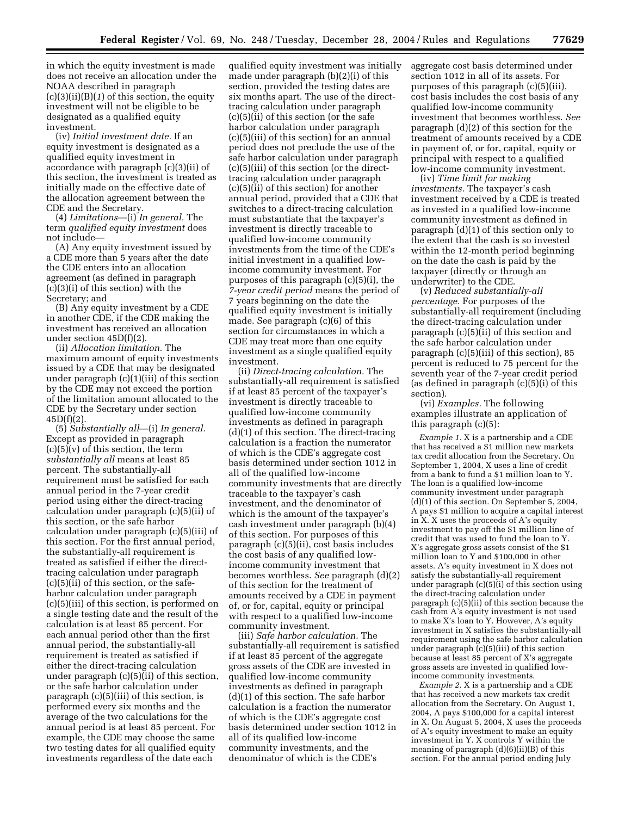in which the equity investment is made does not receive an allocation under the NOAA described in paragraph (c)(3)(ii)(B)(*1*) of this section, the equity investment will not be eligible to be designated as a qualified equity investment.

(iv) *Initial investment date.* If an equity investment is designated as a qualified equity investment in accordance with paragraph (c)(3)(ii) of this section, the investment is treated as initially made on the effective date of the allocation agreement between the CDE and the Secretary.

(4) *Limitations*—(i) *In general.* The term *qualified equity investment* does not include—

(A) Any equity investment issued by a CDE more than 5 years after the date the CDE enters into an allocation agreement (as defined in paragraph (c)(3)(i) of this section) with the Secretary; and

(B) Any equity investment by a CDE in another CDE, if the CDE making the investment has received an allocation under section 45D(f)(2).

(ii) *Allocation limitation.* The maximum amount of equity investments issued by a CDE that may be designated under paragraph (c)(1)(iii) of this section by the CDE may not exceed the portion of the limitation amount allocated to the CDE by the Secretary under section  $45D(f)(2)$ .

(5) *Substantially all*—(i) *In general.* Except as provided in paragraph  $(c)(5)(v)$  of this section, the term *substantially all* means at least 85 percent. The substantially-all requirement must be satisfied for each annual period in the 7-year credit period using either the direct-tracing calculation under paragraph (c)(5)(ii) of this section, or the safe harbor calculation under paragraph (c)(5)(iii) of this section. For the first annual period, the substantially-all requirement is treated as satisfied if either the directtracing calculation under paragraph  $(c)(5)(ii)$  of this section, or the safeharbor calculation under paragraph (c)(5)(iii) of this section, is performed on a single testing date and the result of the calculation is at least 85 percent. For each annual period other than the first annual period, the substantially-all requirement is treated as satisfied if either the direct-tracing calculation under paragraph (c)(5)(ii) of this section, or the safe harbor calculation under paragraph (c)(5)(iii) of this section, is performed every six months and the average of the two calculations for the annual period is at least 85 percent. For example, the CDE may choose the same two testing dates for all qualified equity investments regardless of the date each

qualified equity investment was initially made under paragraph (b)(2)(i) of this section, provided the testing dates are six months apart. The use of the directtracing calculation under paragraph (c)(5)(ii) of this section (or the safe harbor calculation under paragraph (c)(5)(iii) of this section) for an annual period does not preclude the use of the safe harbor calculation under paragraph (c)(5)(iii) of this section (or the directtracing calculation under paragraph (c)(5)(ii) of this section) for another annual period, provided that a CDE that switches to a direct-tracing calculation must substantiate that the taxpayer's investment is directly traceable to qualified low-income community investments from the time of the CDE's initial investment in a qualified lowincome community investment. For purposes of this paragraph (c)(5)(i), the *7-year credit period* means the period of 7 years beginning on the date the qualified equity investment is initially made. See paragraph (c)(6) of this section for circumstances in which a CDE may treat more than one equity investment as a single qualified equity investment.

(ii) *Direct-tracing calculation.* The substantially-all requirement is satisfied if at least 85 percent of the taxpayer's investment is directly traceable to qualified low-income community investments as defined in paragraph (d)(1) of this section. The direct-tracing calculation is a fraction the numerator of which is the CDE's aggregate cost basis determined under section 1012 in all of the qualified low-income community investments that are directly traceable to the taxpayer's cash investment, and the denominator of which is the amount of the taxpayer's cash investment under paragraph (b)(4) of this section. For purposes of this paragraph (c)(5)(ii), cost basis includes the cost basis of any qualified lowincome community investment that becomes worthless. *See* paragraph (d)(2) of this section for the treatment of amounts received by a CDE in payment of, or for, capital, equity or principal with respect to a qualified low-income community investment.

(iii) *Safe harbor calculation.* The substantially-all requirement is satisfied if at least 85 percent of the aggregate gross assets of the CDE are invested in qualified low-income community investments as defined in paragraph (d)(1) of this section. The safe harbor calculation is a fraction the numerator of which is the CDE's aggregate cost basis determined under section 1012 in all of its qualified low-income community investments, and the denominator of which is the CDE's

aggregate cost basis determined under section 1012 in all of its assets. For purposes of this paragraph (c)(5)(iii), cost basis includes the cost basis of any qualified low-income community investment that becomes worthless. *See* paragraph (d)(2) of this section for the treatment of amounts received by a CDE in payment of, or for, capital, equity or principal with respect to a qualified low-income community investment.

(iv) *Time limit for making investments.* The taxpayer's cash investment received by a CDE is treated as invested in a qualified low-income community investment as defined in paragraph (d)(1) of this section only to the extent that the cash is so invested within the 12-month period beginning on the date the cash is paid by the taxpayer (directly or through an underwriter) to the CDE.

(v) *Reduced substantially-all percentage.* For purposes of the substantially-all requirement (including the direct-tracing calculation under paragraph (c)(5)(ii) of this section and the safe harbor calculation under paragraph (c)(5)(iii) of this section), 85 percent is reduced to 75 percent for the seventh year of the 7-year credit period (as defined in paragraph (c)(5)(i) of this section).

(vi) *Examples.* The following examples illustrate an application of this paragraph (c)(5):

*Example 1.* X is a partnership and a CDE that has received a \$1 million new markets tax credit allocation from the Secretary. On September 1, 2004, X uses a line of credit from a bank to fund a \$1 million loan to Y. The loan is a qualified low-income community investment under paragraph (d)(1) of this section. On September 5, 2004, A pays \$1 million to acquire a capital interest in X. X uses the proceeds of A's equity investment to pay off the \$1 million line of credit that was used to fund the loan to Y. X's aggregate gross assets consist of the \$1 million loan to Y and \$100,000 in other assets. A's equity investment in X does not satisfy the substantially-all requirement under paragraph (c)(5)(i) of this section using the direct-tracing calculation under paragraph (c)(5)(ii) of this section because the cash from A's equity investment is not used to make X's loan to Y. However, A's equity investment in X satisfies the substantially-all requirement using the safe harbor calculation under paragraph (c)(5)(iii) of this section because at least 85 percent of X's aggregate gross assets are invested in qualified lowincome community investments.

*Example 2.* X is a partnership and a CDE that has received a new markets tax credit allocation from the Secretary. On August 1, 2004, A pays \$100,000 for a capital interest in X. On August 5, 2004, X uses the proceeds of A's equity investment to make an equity investment in Y. X controls Y within the meaning of paragraph (d)(6)(ii)(B) of this section. For the annual period ending July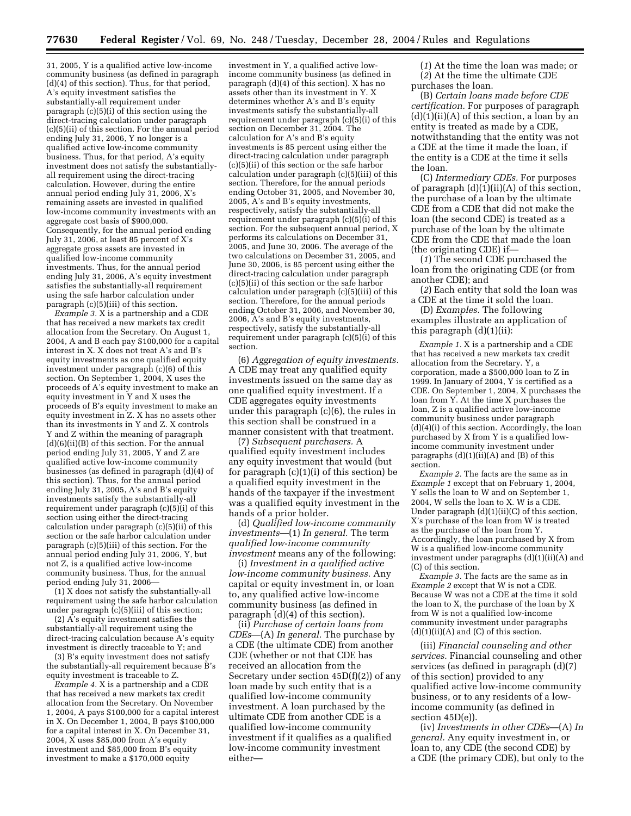31, 2005, Y is a qualified active low-income community business (as defined in paragraph (d)(4) of this section). Thus, for that period, A's equity investment satisfies the substantially-all requirement under paragraph (c)(5)(i) of this section using the direct-tracing calculation under paragraph (c)(5)(ii) of this section. For the annual period ending July 31, 2006, Y no longer is a qualified active low-income community business. Thus, for that period, A's equity investment does not satisfy the substantiallyall requirement using the direct-tracing calculation. However, during the entire annual period ending July 31, 2006, X's remaining assets are invested in qualified low-income community investments with an aggregate cost basis of \$900,000. Consequently, for the annual period ending July 31, 2006, at least 85 percent of X's aggregate gross assets are invested in qualified low-income community investments. Thus, for the annual period ending July 31, 2006, A's equity investment satisfies the substantially-all requirement using the safe harbor calculation under paragraph (c)(5)(iii) of this section.

*Example 3.* X is a partnership and a CDE that has received a new markets tax credit allocation from the Secretary. On August 1, 2004, A and B each pay \$100,000 for a capital interest in X. X does not treat A's and B's equity investments as one qualified equity investment under paragraph (c)(6) of this section. On September 1, 2004, X uses the proceeds of A's equity investment to make an equity investment in Y and X uses the proceeds of B's equity investment to make an equity investment in Z. X has no assets other than its investments in Y and Z. X controls Y and Z within the meaning of paragraph (d)(6)(ii)(B) of this section. For the annual period ending July 31, 2005, Y and Z are qualified active low-income community businesses (as defined in paragraph (d)(4) of this section). Thus, for the annual period ending July 31, 2005, A's and B's equity investments satisfy the substantially-all requirement under paragraph  $(c)(5)(i)$  of this section using either the direct-tracing calculation under paragraph (c)(5)(ii) of this section or the safe harbor calculation under paragraph (c)(5)(iii) of this section. For the annual period ending July 31, 2006, Y, but not Z, is a qualified active low-income community business. Thus, for the annual period ending July 31, 2006—

(1) X does not satisfy the substantially-all requirement using the safe harbor calculation under paragraph  $(c)(5)(iii)$  of this section;

(2) A's equity investment satisfies the substantially-all requirement using the direct-tracing calculation because A's equity investment is directly traceable to Y; and

(3) B's equity investment does not satisfy the substantially-all requirement because B's equity investment is traceable to Z.

*Example 4.* X is a partnership and a CDE that has received a new markets tax credit allocation from the Secretary. On November 1, 2004, A pays \$100,000 for a capital interest in X. On December 1, 2004, B pays \$100,000 for a capital interest in X. On December 31, 2004, X uses \$85,000 from A's equity investment and \$85,000 from B's equity investment to make a \$170,000 equity

investment in Y, a qualified active lowincome community business (as defined in paragraph (d)(4) of this section). X has no assets other than its investment in Y. X determines whether A's and B's equity investments satisfy the substantially-all requirement under paragraph (c)(5)(i) of this section on December 31, 2004. The calculation for A's and B's equity investments is 85 percent using either the direct-tracing calculation under paragraph (c)(5)(ii) of this section or the safe harbor calculation under paragraph (c)(5)(iii) of this section. Therefore, for the annual periods ending October 31, 2005, and November 30, 2005, A's and B's equity investments, respectively, satisfy the substantially-all requirement under paragraph (c)(5)(i) of this section. For the subsequent annual period, X performs its calculations on December 31, 2005, and June 30, 2006. The average of the two calculations on December 31, 2005, and June 30, 2006, is 85 percent using either the direct-tracing calculation under paragraph (c)(5)(ii) of this section or the safe harbor calculation under paragraph (c)(5)(iii) of this section. Therefore, for the annual periods ending October 31, 2006, and November 30, 2006, A's and B's equity investments, respectively, satisfy the substantially-all requirement under paragraph (c)(5)(i) of this section.

(6) *Aggregation of equity investments.* A CDE may treat any qualified equity investments issued on the same day as one qualified equity investment. If a CDE aggregates equity investments under this paragraph (c)(6), the rules in this section shall be construed in a manner consistent with that treatment.

(7) *Subsequent purchasers.* A qualified equity investment includes any equity investment that would (but for paragraph (c)(1)(i) of this section) be a qualified equity investment in the hands of the taxpayer if the investment was a qualified equity investment in the hands of a prior holder.

(d) *Qualified low-income community investments*—(1) *In general.* The term *qualified low-income community investment* means any of the following:

(i) *Investment in a qualified active low-income community business.* Any capital or equity investment in, or loan to, any qualified active low-income community business (as defined in paragraph (d)(4) of this section).

(ii) *Purchase of certain loans from CDEs*—(A) *In general.* The purchase by a CDE (the ultimate CDE) from another CDE (whether or not that CDE has received an allocation from the Secretary under section 45D(f)(2)) of any loan made by such entity that is a qualified low-income community investment. A loan purchased by the ultimate CDE from another CDE is a qualified low-income community investment if it qualifies as a qualified low-income community investment either—

(*1*) At the time the loan was made; or (*2*) At the time the ultimate CDE purchases the loan.

(B) *Certain loans made before CDE certification.* For purposes of paragraph  $(d)(1)(ii)(A)$  of this section, a loan by an entity is treated as made by a CDE, notwithstanding that the entity was not a CDE at the time it made the loan, if the entity is a CDE at the time it sells the loan.

(C) *Intermediary CDEs.* For purposes of paragraph  $(d)(1)(ii)(A)$  of this section, the purchase of a loan by the ultimate CDE from a CDE that did not make the loan (the second CDE) is treated as a purchase of the loan by the ultimate CDE from the CDE that made the loan (the originating CDE) if—

(*1*) The second CDE purchased the loan from the originating CDE (or from another CDE); and

(*2*) Each entity that sold the loan was a CDE at the time it sold the loan.

(D) *Examples.* The following examples illustrate an application of this paragraph (d)(1)(ii):

*Example 1.* X is a partnership and a CDE that has received a new markets tax credit allocation from the Secretary. Y, a corporation, made a \$500,000 loan to Z in 1999. In January of 2004, Y is certified as a CDE. On September 1, 2004, X purchases the loan from Y. At the time X purchases the loan, Z is a qualified active low-income community business under paragraph (d)(4)(i) of this section. Accordingly, the loan purchased by X from Y is a qualified lowincome community investment under paragraphs  $(d)(1)(ii)(A)$  and  $(B)$  of this section.

*Example 2.* The facts are the same as in *Example 1* except that on February 1, 2004, Y sells the loan to W and on September 1, 2004, W sells the loan to X. W is a CDE. Under paragraph (d)(1)(ii)(C) of this section, X's purchase of the loan from W is treated as the purchase of the loan from Y. Accordingly, the loan purchased by X from W is a qualified low-income community investment under paragraphs (d)(1)(ii)(A) and (C) of this section.

*Example 3.* The facts are the same as in *Example 2* except that W is not a CDE. Because W was not a CDE at the time it sold the loan to X, the purchase of the loan by X from W is not a qualified low-income community investment under paragraphs  $(d)(1)(ii)(A)$  and  $(C)$  of this section.

(iii) *Financial counseling and other services.* Financial counseling and other services (as defined in paragraph (d)(7) of this section) provided to any qualified active low-income community business, or to any residents of a lowincome community (as defined in section 45D(e)).

(iv) *Investments in other CDEs*—(A) *In general.* Any equity investment in, or loan to, any CDE (the second CDE) by a CDE (the primary CDE), but only to the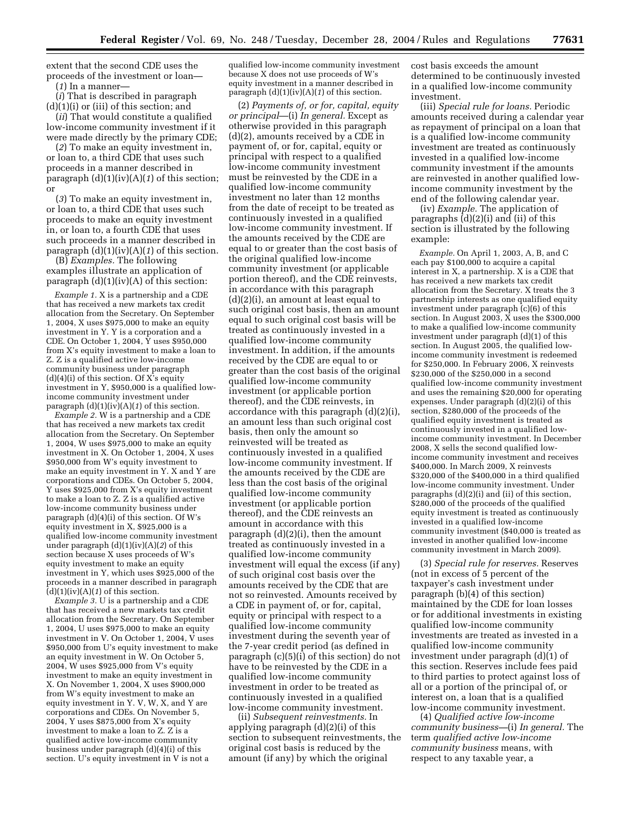extent that the second CDE uses the proceeds of the investment or loan—

(*1*) In a manner—

(*i*) That is described in paragraph (d)(1)(i) or (iii) of this section; and

(*ii*) That would constitute a qualified low-income community investment if it were made directly by the primary CDE;

(*2*) To make an equity investment in, or loan to, a third CDE that uses such proceeds in a manner described in paragraph (d)(1)(iv)(A)(*1*) of this section; or

(*3*) To make an equity investment in, or loan to, a third CDE that uses such proceeds to make an equity investment in, or loan to, a fourth CDE that uses such proceeds in a manner described in paragraph (d)(1)(iv)(A)(*1*) of this section.

(B) *Examples.* The following examples illustrate an application of paragraph  $(d)(1)(iv)(A)$  of this section:

*Example 1.* X is a partnership and a CDE that has received a new markets tax credit allocation from the Secretary. On September 1, 2004, X uses \$975,000 to make an equity investment in Y. Y is a corporation and a CDE. On October 1, 2004,  $\hat{Y}$  uses \$950,000 from X's equity investment to make a loan to Z. Z is a qualified active low-income community business under paragraph  $(d)(4)(i)$  of this section. Of  $\overline{X}$ 's equity investment in Y, \$950,000 is a qualified lowincome community investment under paragraph (d)(1)(iv)(A)(*1*) of this section.

*Example 2.* W is a partnership and a CDE that has received a new markets tax credit allocation from the Secretary. On September 1, 2004, W uses \$975,000 to make an equity investment in X. On October 1, 2004, X uses \$950,000 from W's equity investment to make an equity investment in Y. X and Y are corporations and CDEs. On October 5, 2004, Y uses \$925,000 from X's equity investment to make a loan to Z. Z is a qualified active low-income community business under paragraph (d)(4)(i) of this section. Of W's equity investment in X, \$925,000 is a qualified low-income community investment under paragraph (d)(1)(iv)(A)(*2*) of this section because X uses proceeds of W's equity investment to make an equity investment in Y, which uses \$925,000 of the proceeds in a manner described in paragraph  $(d)(1)(iv)(A)(1)$  of this section.

*Example 3.* U is a partnership and a CDE that has received a new markets tax credit allocation from the Secretary. On September 1, 2004, U uses \$975,000 to make an equity investment in V. On October 1, 2004, V uses \$950,000 from U's equity investment to make an equity investment in W. On October 5, 2004, W uses \$925,000 from V's equity investment to make an equity investment in X. On November 1, 2004, X uses \$900,000 from W's equity investment to make an equity investment in Y. V, W, X, and Y are corporations and CDEs. On November 5, 2004, Y uses \$875,000 from X's equity investment to make a loan to Z. Z is a qualified active low-income community business under paragraph (d)(4)(i) of this section. U's equity investment in V is not a

qualified low-income community investment because X does not use proceeds of W's equity investment in a manner described in paragraph  $(d)(1)(iv)(A)(1)$  of this section.

(2) *Payments of, or for, capital, equity or principal*—(i) *In general.* Except as otherwise provided in this paragraph (d)(2), amounts received by a CDE in payment of, or for, capital, equity or principal with respect to a qualified low-income community investment must be reinvested by the CDE in a qualified low-income community investment no later than 12 months from the date of receipt to be treated as continuously invested in a qualified low-income community investment. If the amounts received by the CDE are equal to or greater than the cost basis of the original qualified low-income community investment (or applicable portion thereof), and the CDE reinvests, in accordance with this paragraph (d)(2)(i), an amount at least equal to such original cost basis, then an amount equal to such original cost basis will be treated as continuously invested in a qualified low-income community investment. In addition, if the amounts received by the CDE are equal to or greater than the cost basis of the original qualified low-income community investment (or applicable portion thereof), and the CDE reinvests, in accordance with this paragraph (d)(2)(i), an amount less than such original cost basis, then only the amount so reinvested will be treated as continuously invested in a qualified low-income community investment. If the amounts received by the CDE are less than the cost basis of the original qualified low-income community investment (or applicable portion thereof), and the CDE reinvests an amount in accordance with this paragraph (d)(2)(i), then the amount treated as continuously invested in a qualified low-income community investment will equal the excess (if any) of such original cost basis over the amounts received by the CDE that are not so reinvested. Amounts received by a CDE in payment of, or for, capital, equity or principal with respect to a qualified low-income community investment during the seventh year of the 7-year credit period (as defined in paragraph (c)(5)(i) of this section) do not have to be reinvested by the CDE in a qualified low-income community investment in order to be treated as continuously invested in a qualified low-income community investment.

(ii) *Subsequent reinvestments.* In applying paragraph (d)(2)(i) of this section to subsequent reinvestments, the original cost basis is reduced by the amount (if any) by which the original

cost basis exceeds the amount determined to be continuously invested in a qualified low-income community investment.

(iii) *Special rule for loans.* Periodic amounts received during a calendar year as repayment of principal on a loan that is a qualified low-income community investment are treated as continuously invested in a qualified low-income community investment if the amounts are reinvested in another qualified lowincome community investment by the end of the following calendar year.

(iv) *Example.* The application of paragraphs (d)(2)(i) and (ii) of this section is illustrated by the following example:

*Example.* On April 1, 2003, A, B, and C each pay \$100,000 to acquire a capital interest in X, a partnership. X is a CDE that has received a new markets tax credit allocation from the Secretary. X treats the 3 partnership interests as one qualified equity investment under paragraph (c)(6) of this section. In August 2003,  $\bar{X}$  uses the \$300,000 to make a qualified low-income community investment under paragraph (d)(1) of this section. In August 2005, the qualified lowincome community investment is redeemed for \$250,000. In February 2006, X reinvests \$230,000 of the \$250,000 in a second qualified low-income community investment and uses the remaining \$20,000 for operating expenses. Under paragraph (d)(2)(i) of this section, \$280,000 of the proceeds of the qualified equity investment is treated as continuously invested in a qualified lowincome community investment. In December 2008, X sells the second qualified lowincome community investment and receives \$400,000. In March 2009, X reinvests \$320,000 of the \$400,000 in a third qualified low-income community investment. Under paragraphs (d)(2)(i) and (ii) of this section,  $$280,000$  of the proceeds of the qualified equity investment is treated as continuously invested in a qualified low-income community investment (\$40,000 is treated as invested in another qualified low-income community investment in March 2009).

(3) *Special rule for reserves.* Reserves (not in excess of 5 percent of the taxpayer's cash investment under paragraph (b)(4) of this section) maintained by the CDE for loan losses or for additional investments in existing qualified low-income community investments are treated as invested in a qualified low-income community investment under paragraph (d)(1) of this section. Reserves include fees paid to third parties to protect against loss of all or a portion of the principal of, or interest on, a loan that is a qualified low-income community investment.

(4) *Qualified active low-income community business—*(i) *In general.* The term *qualified active low-income community business* means, with respect to any taxable year, a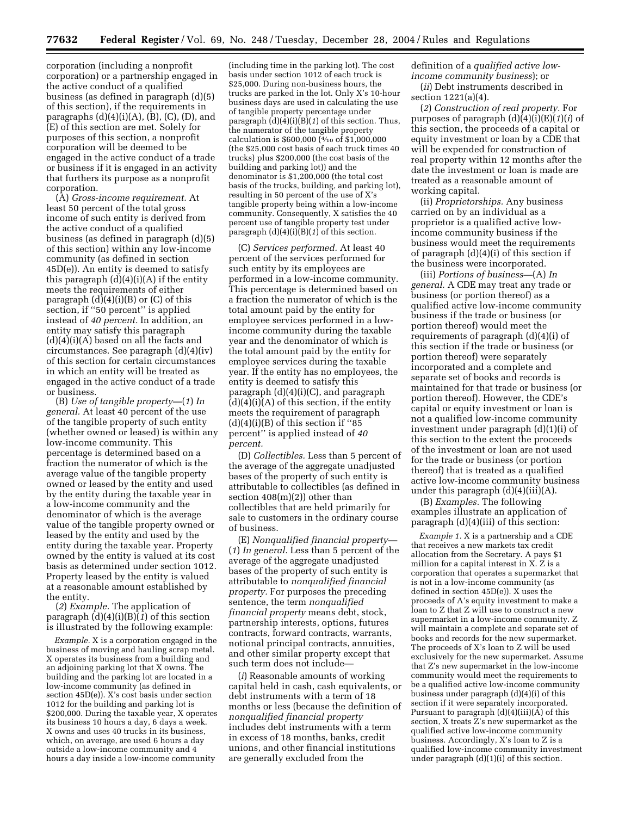corporation (including a nonprofit corporation) or a partnership engaged in the active conduct of a qualified business (as defined in paragraph (d)(5) of this section), if the requirements in paragraphs  $(d)(4)(i)(A)$ ,  $(B)$ ,  $(C)$ ,  $(D)$ , and (E) of this section are met. Solely for purposes of this section, a nonprofit corporation will be deemed to be engaged in the active conduct of a trade or business if it is engaged in an activity that furthers its purpose as a nonprofit corporation.

(A) *Gross-income requirement.* At least 50 percent of the total gross income of such entity is derived from the active conduct of a qualified business (as defined in paragraph (d)(5) of this section) within any low-income community (as defined in section 45D(e)). An entity is deemed to satisfy this paragraph  $(d)(4)(i)(A)$  if the entity meets the requirements of either paragraph  $(d)(4)(i)(B)$  or  $(C)$  of this section, if ''50 percent'' is applied instead of *40 percent.* In addition, an entity may satisfy this paragraph  $(d)(4)(i)(A)$  based on all the facts and circumstances. See paragraph (d)(4)(iv) of this section for certain circumstances in which an entity will be treated as engaged in the active conduct of a trade or business.

(B) *Use of tangible property—*(*1*) *In general.* At least 40 percent of the use of the tangible property of such entity (whether owned or leased) is within any low-income community. This percentage is determined based on a fraction the numerator of which is the average value of the tangible property owned or leased by the entity and used by the entity during the taxable year in a low-income community and the denominator of which is the average value of the tangible property owned or leased by the entity and used by the entity during the taxable year. Property owned by the entity is valued at its cost basis as determined under section 1012. Property leased by the entity is valued at a reasonable amount established by the entity.

(*2*) *Example.* The application of paragraph (d)(4)(i)(B)(*1*) of this section is illustrated by the following example:

*Example.* X is a corporation engaged in the business of moving and hauling scrap metal. X operates its business from a building and an adjoining parking lot that X owns. The building and the parking lot are located in a low-income community (as defined in section 45D(e)). X's cost basis under section 1012 for the building and parking lot is \$200,000. During the taxable year, X operates its business 10 hours a day, 6 days a week. X owns and uses 40 trucks in its business, which, on average, are used 6 hours a day outside a low-income community and 4 hours a day inside a low-income community

(including time in the parking lot). The cost basis under section 1012 of each truck is \$25,000. During non-business hours, the trucks are parked in the lot. Only X's 10-hour business days are used in calculating the use of tangible property percentage under paragraph  $(d)(4)(i)(B)(1)$  of this section. Thus, the numerator of the tangible property calculation is \$600,000 (4⁄10 of \$1,000,000 (the \$25,000 cost basis of each truck times 40 trucks) plus \$200,000 (the cost basis of the building and parking lot)) and the denominator is \$1,200,000 (the total cost basis of the trucks, building, and parking lot), resulting in 50 percent of the use of X's tangible property being within a low-income community. Consequently, X satisfies the 40 percent use of tangible property test under paragraph (d)(4)(i)(B)(*1*) of this section.

(C) *Services performed.* At least 40 percent of the services performed for such entity by its employees are performed in a low-income community. This percentage is determined based on a fraction the numerator of which is the total amount paid by the entity for employee services performed in a lowincome community during the taxable year and the denominator of which is the total amount paid by the entity for employee services during the taxable year. If the entity has no employees, the entity is deemed to satisfy this paragraph (d)(4)(i)(C), and paragraph  $(d)(4)(i)(A)$  of this section, if the entity meets the requirement of paragraph  $(d)(4)(i)(B)$  of this section if "85 percent'' is applied instead of *40 percent.*

(D) *Collectibles.* Less than 5 percent of the average of the aggregate unadjusted bases of the property of such entity is attributable to collectibles (as defined in section 408(m)(2)) other than collectibles that are held primarily for sale to customers in the ordinary course of business.

(E) *Nonqualified financial property—* (*1*) *In general.* Less than 5 percent of the average of the aggregate unadjusted bases of the property of such entity is attributable to *nonqualified financial property.* For purposes the preceding sentence, the term *nonqualified financial property* means debt, stock, partnership interests, options, futures contracts, forward contracts, warrants, notional principal contracts, annuities, and other similar property except that such term does not include—

(*i*) Reasonable amounts of working capital held in cash, cash equivalents, or debt instruments with a term of 18 months or less (because the definition of *nonqualified financial property* includes debt instruments with a term in excess of 18 months, banks, credit unions, and other financial institutions are generally excluded from the

definition of a *qualified active lowincome community business*); or

(*ii*) Debt instruments described in section 1221(a)(4).

(*2*) *Construction of real property.* For purposes of paragraph (d)(4)(i)(E)(*1*)(*i*) of this section, the proceeds of a capital or equity investment or loan by a CDE that will be expended for construction of real property within 12 months after the date the investment or loan is made are treated as a reasonable amount of working capital.

(ii) *Proprietorships.* Any business carried on by an individual as a proprietor is a qualified active lowincome community business if the business would meet the requirements of paragraph (d)(4)(i) of this section if the business were incorporated.

(iii) *Portions of business—*(A) *In general.* A CDE may treat any trade or business (or portion thereof) as a qualified active low-income community business if the trade or business (or portion thereof) would meet the requirements of paragraph (d)(4)(i) of this section if the trade or business (or portion thereof) were separately incorporated and a complete and separate set of books and records is maintained for that trade or business (or portion thereof). However, the CDE's capital or equity investment or loan is not a qualified low-income community investment under paragraph (d)(1)(i) of this section to the extent the proceeds of the investment or loan are not used for the trade or business (or portion thereof) that is treated as a qualified active low-income community business under this paragraph  $(d)(4)(iii)(A)$ .

(B) *Examples.* The following examples illustrate an application of paragraph (d)(4)(iii) of this section:

*Example 1.* X is a partnership and a CDE that receives a new markets tax credit allocation from the Secretary. A pays \$1 million for a capital interest in  $\overline{X}$ .  $\overline{Z}$  is a corporation that operates a supermarket that is not in a low-income community (as defined in section 45D(e)). X uses the proceeds of A's equity investment to make a loan to Z that Z will use to construct a new supermarket in a low-income community. Z will maintain a complete and separate set of books and records for the new supermarket. The proceeds of X's loan to Z will be used exclusively for the new supermarket. Assume that Z's new supermarket in the low-income community would meet the requirements to be a qualified active low-income community business under paragraph (d)(4)(i) of this section if it were separately incorporated. Pursuant to paragraph  $(d)(4)(iii)(A)$  of this section, X treats Z's new supermarket as the qualified active low-income community business. Accordingly, X's loan to Z is a qualified low-income community investment under paragraph (d)(1)(i) of this section.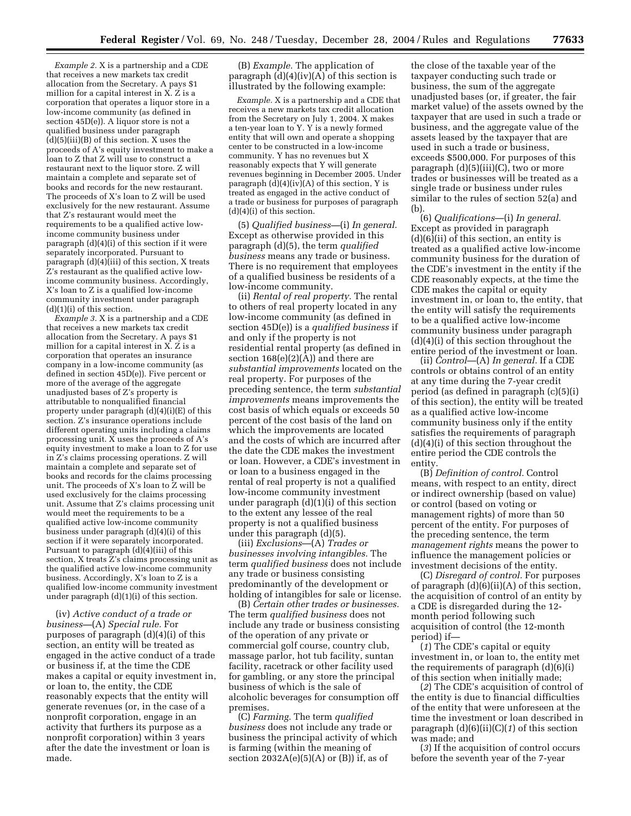*Example 2.* X is a partnership and a CDE that receives a new markets tax credit allocation from the Secretary. A pays \$1 million for a capital interest in X. Z is a corporation that operates a liquor store in a low-income community (as defined in section 45D(e)). A liquor store is not a qualified business under paragraph (d)(5)(iii)(B) of this section. X uses the proceeds of A's equity investment to make a loan to Z that Z will use to construct a restaurant next to the liquor store. Z will maintain a complete and separate set of books and records for the new restaurant. The proceeds of X's loan to Z will be used exclusively for the new restaurant. Assume that Z's restaurant would meet the requirements to be a qualified active lowincome community business under paragraph (d)(4)(i) of this section if it were separately incorporated. Pursuant to paragraph (d)(4)(iii) of this section, X treats Z's restaurant as the qualified active lowincome community business. Accordingly, X's loan to Z is a qualified low-income community investment under paragraph  $(d)(1)(i)$  of this section.

*Example 3.* X is a partnership and a CDE that receives a new markets tax credit allocation from the Secretary. A pays \$1 million for a capital interest in X. Z is a corporation that operates an insurance company in a low-income community (as defined in section 45D(e)). Five percent or more of the average of the aggregate unadjusted bases of Z's property is attributable to nonqualified financial property under paragraph (d)(4)(i)(E) of this section. Z's insurance operations include different operating units including a claims processing unit. X uses the proceeds of A's equity investment to make a loan to Z for use in Z's claims processing operations. Z will maintain a complete and separate set of books and records for the claims processing unit. The proceeds of X's loan to Z will be used exclusively for the claims processing unit. Assume that Z's claims processing unit would meet the requirements to be a qualified active low-income community business under paragraph (d)(4)(i) of this section if it were separately incorporated. Pursuant to paragraph (d)(4)(iii) of this section, X treats Z's claims processing unit as the qualified active low-income community business. Accordingly, X's loan to Z is a qualified low-income community investment under paragraph (d)(1)(i) of this section.

(iv) *Active conduct of a trade or business—*(A) *Special rule.* For purposes of paragraph (d)(4)(i) of this section, an entity will be treated as engaged in the active conduct of a trade or business if, at the time the CDE makes a capital or equity investment in, or loan to, the entity, the CDE reasonably expects that the entity will generate revenues (or, in the case of a nonprofit corporation, engage in an activity that furthers its purpose as a nonprofit corporation) within 3 years after the date the investment or loan is made.

(B) *Example.* The application of paragraph (d)(4)(iv)(A) of this section is illustrated by the following example:

*Example.* X is a partnership and a CDE that receives a new markets tax credit allocation from the Secretary on July 1, 2004. X makes a ten-year loan to Y. Y is a newly formed entity that will own and operate a shopping center to be constructed in a low-income community. Y has no revenues but X reasonably expects that Y will generate revenues beginning in December 2005. Under paragraph  $(d)(4)(iv)(A)$  of this section, Y is treated as engaged in the active conduct of a trade or business for purposes of paragraph  $(d)(4)(i)$  of this section.

(5) *Qualified business—*(i) *In general.* Except as otherwise provided in this paragraph (d)(5), the term *qualified business* means any trade or business. There is no requirement that employees of a qualified business be residents of a low-income community.

(ii) *Rental of real property.* The rental to others of real property located in any low-income community (as defined in section 45D(e)) is a *qualified business* if and only if the property is not residential rental property (as defined in section  $168(e)(2)(A)$  and there are *substantial improvements* located on the real property. For purposes of the preceding sentence, the term *substantial improvements* means improvements the cost basis of which equals or exceeds 50 percent of the cost basis of the land on which the improvements are located and the costs of which are incurred after the date the CDE makes the investment or loan. However, a CDE's investment in or loan to a business engaged in the rental of real property is not a qualified low-income community investment under paragraph (d)(1)(i) of this section to the extent any lessee of the real property is not a qualified business under this paragraph (d)(5).

(iii) *Exclusions*—(A) *Trades or businesses involving intangibles.* The term *qualified business* does not include any trade or business consisting predominantly of the development or holding of intangibles for sale or license.

(B) *Certain other trades or businesses.* The term *qualified business* does not include any trade or business consisting of the operation of any private or commercial golf course, country club, massage parlor, hot tub facility, suntan facility, racetrack or other facility used for gambling, or any store the principal business of which is the sale of alcoholic beverages for consumption off premises.

(C) *Farming.* The term *qualified business* does not include any trade or business the principal activity of which is farming (within the meaning of section  $2032A(e)(5)(A)$  or  $(B)$ ) if, as of

the close of the taxable year of the taxpayer conducting such trade or business, the sum of the aggregate unadjusted bases (or, if greater, the fair market value) of the assets owned by the taxpayer that are used in such a trade or business, and the aggregate value of the assets leased by the taxpayer that are used in such a trade or business, exceeds \$500,000. For purposes of this paragraph  $(d)(5)(iii)(C)$ , two or more trades or businesses will be treated as a single trade or business under rules similar to the rules of section 52(a) and (b).

(6) *Qualifications*—(i) *In general.* Except as provided in paragraph (d)(6)(ii) of this section, an entity is treated as a qualified active low-income community business for the duration of the CDE's investment in the entity if the CDE reasonably expects, at the time the CDE makes the capital or equity investment in, or loan to, the entity, that the entity will satisfy the requirements to be a qualified active low-income community business under paragraph (d)(4)(i) of this section throughout the entire period of the investment or loan.

(ii) *Control*—(A) *In general.* If a CDE controls or obtains control of an entity at any time during the 7-year credit period (as defined in paragraph (c)(5)(i) of this section), the entity will be treated as a qualified active low-income community business only if the entity satisfies the requirements of paragraph (d)(4)(i) of this section throughout the entire period the CDE controls the entity.

(B) *Definition of control.* Control means, with respect to an entity, direct or indirect ownership (based on value) or control (based on voting or management rights) of more than 50 percent of the entity. For purposes of the preceding sentence, the term *management rights* means the power to influence the management policies or investment decisions of the entity.

(C) *Disregard of control.* For purposes of paragraph  $(d)(6)(ii)(A)$  of this section, the acquisition of control of an entity by a CDE is disregarded during the 12 month period following such acquisition of control (the 12-month period) if—

(*1*) The CDE's capital or equity investment in, or loan to, the entity met the requirements of paragraph (d)(6)(i) of this section when initially made;

(*2*) The CDE's acquisition of control of the entity is due to financial difficulties of the entity that were unforeseen at the time the investment or loan described in paragraph (d)(6)(ii)(C)(*1*) of this section was made; and

(*3*) If the acquisition of control occurs before the seventh year of the 7-year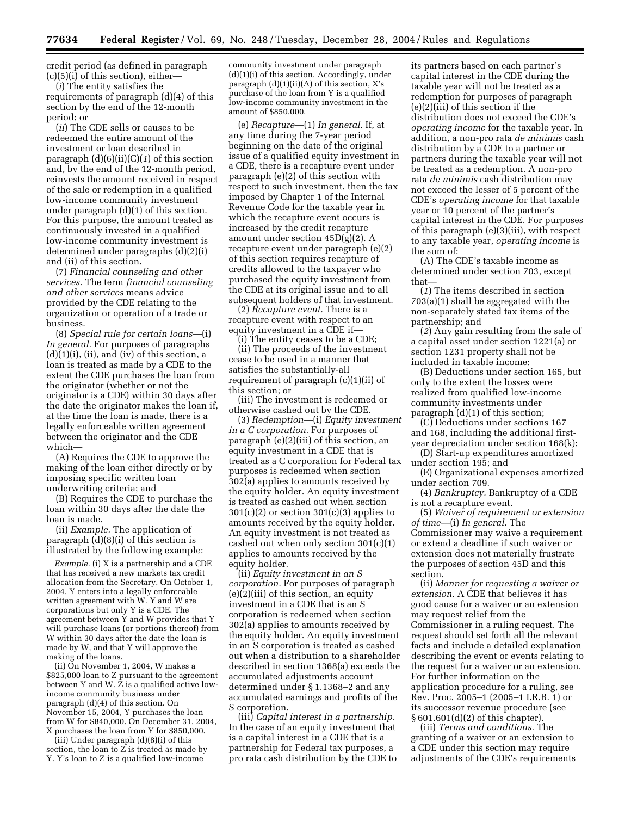credit period (as defined in paragraph  $(c)(5)(i)$  of this section), either—

(*i*) The entity satisfies the requirements of paragraph (d)(4) of this section by the end of the 12-month period; or

(*ii*) The CDE sells or causes to be redeemed the entire amount of the investment or loan described in paragraph (d)(6)(ii)(C)(*1*) of this section and, by the end of the 12-month period, reinvests the amount received in respect of the sale or redemption in a qualified low-income community investment under paragraph (d)(1) of this section. For this purpose, the amount treated as continuously invested in a qualified low-income community investment is determined under paragraphs (d)(2)(i) and (ii) of this section.

(7) *Financial counseling and other services.* The term *financial counseling and other services* means advice provided by the CDE relating to the organization or operation of a trade or business.

(8) *Special rule for certain loans*—(i) *In general.* For purposes of paragraphs  $(d)(1)(i)$ ,  $(ii)$ , and  $(iv)$  of this section, a loan is treated as made by a CDE to the extent the CDE purchases the loan from the originator (whether or not the originator is a CDE) within 30 days after the date the originator makes the loan if, at the time the loan is made, there is a legally enforceable written agreement between the originator and the CDE which—

(A) Requires the CDE to approve the making of the loan either directly or by imposing specific written loan underwriting criteria; and

(B) Requires the CDE to purchase the loan within 30 days after the date the loan is made.

(ii) *Example.* The application of paragraph (d)(8)(i) of this section is illustrated by the following example:

*Example.* (i) X is a partnership and a CDE that has received a new markets tax credit allocation from the Secretary. On October 1, 2004, Y enters into a legally enforceable written agreement with W. Y and W are corporations but only Y is a CDE. The agreement between Y and W provides that Y will purchase loans (or portions thereof) from W within 30 days after the date the loan is made by W, and that Y will approve the making of the loans.

(ii) On November 1, 2004, W makes a \$825,000 loan to Z pursuant to the agreement between Y and W.  $\hat{Z}$  is a qualified active lowincome community business under paragraph (d)(4) of this section. On November 15, 2004, Y purchases the loan from W for \$840,000. On December 31, 2004, X purchases the loan from Y for \$850,000.

(iii) Under paragraph (d)(8)(i) of this section, the loan to Z is treated as made by Y. Y's loan to Z is a qualified low-income

community investment under paragraph (d)(1)(i) of this section. Accordingly, under paragraph (d)(1)(ii)(A) of this section, X's purchase of the loan from Y is a qualified low-income community investment in the amount of \$850,000.

(e) *Recapture*—(1) *In general.* If, at any time during the 7-year period beginning on the date of the original issue of a qualified equity investment in a CDE, there is a recapture event under paragraph (e)(2) of this section with respect to such investment, then the tax imposed by Chapter 1 of the Internal Revenue Code for the taxable year in which the recapture event occurs is increased by the credit recapture amount under section 45D(g)(2). A recapture event under paragraph (e)(2) of this section requires recapture of credits allowed to the taxpayer who purchased the equity investment from the CDE at its original issue and to all subsequent holders of that investment.

(2) *Recapture event.* There is a recapture event with respect to an equity investment in a CDE if—

(i) The entity ceases to be a CDE;

(ii) The proceeds of the investment cease to be used in a manner that satisfies the substantially-all requirement of paragraph (c)(1)(ii) of this section; or

(iii) The investment is redeemed or otherwise cashed out by the CDE.

(3) *Redemption*—(i) *Equity investment in a C corporation.* For purposes of paragraph (e)(2)(iii) of this section, an equity investment in a CDE that is treated as a C corporation for Federal tax purposes is redeemed when section 302(a) applies to amounts received by the equity holder. An equity investment is treated as cashed out when section  $301(c)(2)$  or section  $301(c)(3)$  applies to amounts received by the equity holder. An equity investment is not treated as cashed out when only section 301(c)(1) applies to amounts received by the equity holder.

(ii) *Equity investment in an S corporation.* For purposes of paragraph (e)(2)(iii) of this section, an equity investment in a CDE that is an S corporation is redeemed when section 302(a) applies to amounts received by the equity holder. An equity investment in an S corporation is treated as cashed out when a distribution to a shareholder described in section 1368(a) exceeds the accumulated adjustments account determined under § 1.1368–2 and any accumulated earnings and profits of the S corporation.

(iii) *Capital interest in a partnership.* In the case of an equity investment that is a capital interest in a CDE that is a partnership for Federal tax purposes, a pro rata cash distribution by the CDE to its partners based on each partner's capital interest in the CDE during the taxable year will not be treated as a redemption for purposes of paragraph (e)(2)(iii) of this section if the distribution does not exceed the CDE's *operating income* for the taxable year. In addition, a non-pro rata *de minimis* cash distribution by a CDE to a partner or partners during the taxable year will not be treated as a redemption. A non-pro rata *de minimis* cash distribution may not exceed the lesser of 5 percent of the CDE's *operating income* for that taxable year or 10 percent of the partner's capital interest in the CDE. For purposes of this paragraph (e)(3)(iii), with respect to any taxable year, *operating income* is the sum of:

(A) The CDE's taxable income as determined under section 703, except that—

(*1*) The items described in section 703(a)(1) shall be aggregated with the non-separately stated tax items of the partnership; and

(*2*) Any gain resulting from the sale of a capital asset under section 1221(a) or section 1231 property shall not be included in taxable income;

(B) Deductions under section 165, but only to the extent the losses were realized from qualified low-income community investments under paragraph (d)(1) of this section;

(C) Deductions under sections 167 and 168, including the additional firstyear depreciation under section 168(k);

(D) Start-up expenditures amortized under section 195; and

(E) Organizational expenses amortized under section 709.

(4) *Bankruptcy.* Bankruptcy of a CDE is not a recapture event.

(5) *Waiver of requirement or extension of time*—(i) *In general.* The Commissioner may waive a requirement or extend a deadline if such waiver or extension does not materially frustrate the purposes of section 45D and this section.

(ii) *Manner for requesting a waiver or extension.* A CDE that believes it has good cause for a waiver or an extension may request relief from the Commissioner in a ruling request. The request should set forth all the relevant facts and include a detailed explanation describing the event or events relating to the request for a waiver or an extension. For further information on the application procedure for a ruling, see Rev. Proc. 2005–1 (2005–1 I.R.B. 1) or its successor revenue procedure (see § 601.601(d)(2) of this chapter).

(iii) *Terms and conditions.* The granting of a waiver or an extension to a CDE under this section may require adjustments of the CDE's requirements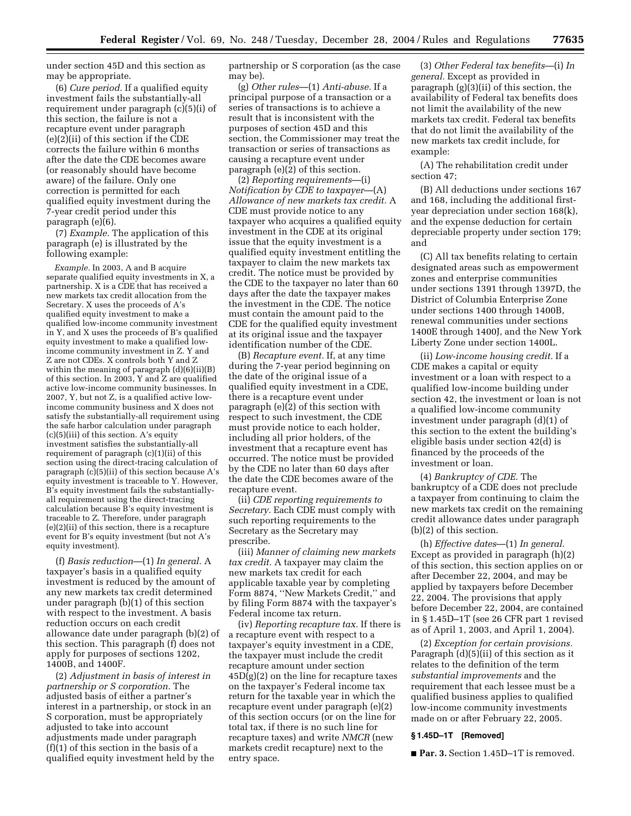under section 45D and this section as may be appropriate.

(6) *Cure period.* If a qualified equity investment fails the substantially-all requirement under paragraph (c)(5)(i) of this section, the failure is not a recapture event under paragraph (e)(2)(ii) of this section if the CDE corrects the failure within 6 months after the date the CDE becomes aware (or reasonably should have become aware) of the failure. Only one correction is permitted for each qualified equity investment during the 7-year credit period under this paragraph (e)(6).

(7) *Example.* The application of this paragraph (e) is illustrated by the following example:

*Example.* In 2003, A and B acquire separate qualified equity investments in X, a partnership. X is a CDE that has received a new markets tax credit allocation from the Secretary. X uses the proceeds of A's qualified equity investment to make a qualified low-income community investment in Y, and X uses the proceeds of B's qualified equity investment to make a qualified lowincome community investment in Z. Y and Z are not CDEs. X controls both Y and Z within the meaning of paragraph  $(d)(6)(ii)(B)$ of this section. In 2003, Y and Z are qualified active low-income community businesses. In 2007, Y, but not Z, is a qualified active lowincome community business and X does not satisfy the substantially-all requirement using the safe harbor calculation under paragraph (c)(5)(iii) of this section. A's equity investment satisfies the substantially-all requirement of paragraph (c)(1)(ii) of this section using the direct-tracing calculation of paragraph (c)(5)(ii) of this section because A's equity investment is traceable to Y. However, B's equity investment fails the substantiallyall requirement using the direct-tracing calculation because B's equity investment is traceable to Z. Therefore, under paragraph (e)(2)(ii) of this section, there is a recapture event for B's equity investment (but not A's equity investment).

(f) *Basis reduction*—(1) *In general.* A taxpayer's basis in a qualified equity investment is reduced by the amount of any new markets tax credit determined under paragraph (b)(1) of this section with respect to the investment. A basis reduction occurs on each credit allowance date under paragraph (b)(2) of this section. This paragraph (f) does not apply for purposes of sections 1202, 1400B, and 1400F.

(2) *Adjustment in basis of interest in partnership or S corporation.* The adjusted basis of either a partner's interest in a partnership, or stock in an S corporation, must be appropriately adjusted to take into account adjustments made under paragraph (f)(1) of this section in the basis of a qualified equity investment held by the partnership or S corporation (as the case may be).

(g) *Other rules*—(1) *Anti-abuse.* If a principal purpose of a transaction or a series of transactions is to achieve a result that is inconsistent with the purposes of section 45D and this section, the Commissioner may treat the transaction or series of transactions as causing a recapture event under paragraph (e)(2) of this section.

(2) *Reporting requirements*—(i) *Notification by CDE to taxpayer*—(A) *Allowance of new markets tax credit.* A CDE must provide notice to any taxpayer who acquires a qualified equity investment in the CDE at its original issue that the equity investment is a qualified equity investment entitling the taxpayer to claim the new markets tax credit. The notice must be provided by the CDE to the taxpayer no later than 60 days after the date the taxpayer makes the investment in the CDE. The notice must contain the amount paid to the CDE for the qualified equity investment at its original issue and the taxpayer identification number of the CDE.

(B) *Recapture event.* If, at any time during the 7-year period beginning on the date of the original issue of a qualified equity investment in a CDE, there is a recapture event under paragraph (e)(2) of this section with respect to such investment, the CDE must provide notice to each holder, including all prior holders, of the investment that a recapture event has occurred. The notice must be provided by the CDE no later than 60 days after the date the CDE becomes aware of the recapture event.

(ii) *CDE reporting requirements to Secretary.* Each CDE must comply with such reporting requirements to the Secretary as the Secretary may prescribe.

(iii) *Manner of claiming new markets tax credit.* A taxpayer may claim the new markets tax credit for each applicable taxable year by completing Form 8874, ''New Markets Credit,'' and by filing Form 8874 with the taxpayer's Federal income tax return.

(iv) *Reporting recapture tax.* If there is a recapture event with respect to a taxpayer's equity investment in a CDE, the taxpayer must include the credit recapture amount under section 45D(g)(2) on the line for recapture taxes on the taxpayer's Federal income tax return for the taxable year in which the recapture event under paragraph (e)(2) of this section occurs (or on the line for total tax, if there is no such line for recapture taxes) and write *NMCR* (new markets credit recapture) next to the entry space.

(3) *Other Federal tax benefits*—(i) *In general.* Except as provided in paragraph (g)(3)(ii) of this section, the availability of Federal tax benefits does not limit the availability of the new markets tax credit. Federal tax benefits that do not limit the availability of the new markets tax credit include, for example:

(A) The rehabilitation credit under section 47;

(B) All deductions under sections 167 and 168, including the additional firstyear depreciation under section 168(k), and the expense deduction for certain depreciable property under section 179; and

(C) All tax benefits relating to certain designated areas such as empowerment zones and enterprise communities under sections 1391 through 1397D, the District of Columbia Enterprise Zone under sections 1400 through 1400B, renewal communities under sections 1400E through 1400J, and the New York Liberty Zone under section 1400L.

(ii) *Low-income housing credit.* If a CDE makes a capital or equity investment or a loan with respect to a qualified low-income building under section 42, the investment or loan is not a qualified low-income community investment under paragraph (d)(1) of this section to the extent the building's eligible basis under section 42(d) is financed by the proceeds of the investment or loan.

(4) *Bankruptcy of CDE.* The bankruptcy of a CDE does not preclude a taxpayer from continuing to claim the new markets tax credit on the remaining credit allowance dates under paragraph (b)(2) of this section.

(h) *Effective dates*—(1) *In general.* Except as provided in paragraph (h)(2) of this section, this section applies on or after December 22, 2004, and may be applied by taxpayers before December 22, 2004. The provisions that apply before December 22, 2004, are contained in § 1.45D–1T (see 26 CFR part 1 revised as of April 1, 2003, and April 1, 2004).

(2) *Exception for certain provisions.* Paragraph (d)(5)(ii) of this section as it relates to the definition of the term *substantial improvements* and the requirement that each lessee must be a qualified business applies to qualified low-income community investments made on or after February 22, 2005.

#### **§ 1.45D–1T [Removed]**

■ **Par. 3.** Section 1.45D–1T is removed.